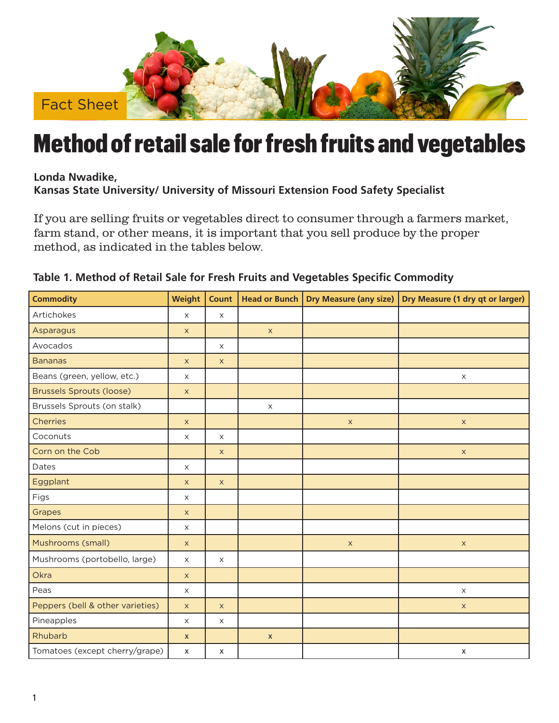

## Method of retail sale for fresh fruits and vegetables

**Londa Nwadike, Kansas State University/ University of Missouri Extension Food Safety Specialist**

If you are selling fruits or vegetables direct to consumer through a farmers market, farm stand, or other means, it is important that you sell produce by the proper method, as indicated in the tables below.

| <b>Commodity</b>                 | Weight                    | <b>Count</b> | <b>Head or Bunch</b> | <b>Dry Measure (any size)</b> | Dry Measure (1 dry qt or larger) |
|----------------------------------|---------------------------|--------------|----------------------|-------------------------------|----------------------------------|
| Artichokes                       | $\mathsf X$               | $\times$     |                      |                               |                                  |
| Asparagus                        | $\times$                  |              | $\mathsf X$          |                               |                                  |
| Avocados                         |                           | $\mathsf X$  |                      |                               |                                  |
| <b>Bananas</b>                   | $\mathsf X$               | $\mathsf X$  |                      |                               |                                  |
| Beans (green, yellow, etc.)      | X                         |              |                      |                               | $\mathsf X$                      |
| <b>Brussels Sprouts (loose)</b>  | $\mathsf{X}$              |              |                      |                               |                                  |
| Brussels Sprouts (on stalk)      |                           |              | $\times$             |                               |                                  |
| <b>Cherries</b>                  | $\mathsf X$               |              |                      | $\mathsf X$                   | $\mathsf X$                      |
| Coconuts                         | $\times$                  | $\times$     |                      |                               |                                  |
| Corn on the Cob                  |                           | $\times$     |                      |                               | $\mathsf X$                      |
| Dates                            | $\mathsf X$               |              |                      |                               |                                  |
| Eggplant                         | $\mathsf X$               | $\times$     |                      |                               |                                  |
| Figs                             | $\times$                  |              |                      |                               |                                  |
| Grapes                           | $\mathsf{X}$              |              |                      |                               |                                  |
| Melons (cut in pieces)           | $\mathsf X$               |              |                      |                               |                                  |
| Mushrooms (small)                | $\boldsymbol{\mathsf{X}}$ |              |                      | $\mathsf X$                   | $\mathsf X$                      |
| Mushrooms (portobello, large)    | $\mathsf X$               | $\times$     |                      |                               |                                  |
| Okra                             | $\mathsf X$               |              |                      |                               |                                  |
| Peas                             | $\mathsf X$               |              |                      |                               | $\times$                         |
| Peppers (bell & other varieties) | $\mathsf{X}$              | $\times$     |                      |                               | $\boldsymbol{\mathsf{X}}$        |
| Pineapples                       | $\mathsf X$               | $\times$     |                      |                               |                                  |
| Rhubarb                          | $\pmb{\mathsf{X}}$        |              | $\pmb{\mathsf{X}}$   |                               |                                  |
| Tomatoes (except cherry/grape)   | $\boldsymbol{\mathsf{x}}$ | x            |                      |                               | $\boldsymbol{\mathsf{x}}$        |

## **Table 1. Method of Retail Sale for Fresh Fruits and Vegetables Specific Commodity**